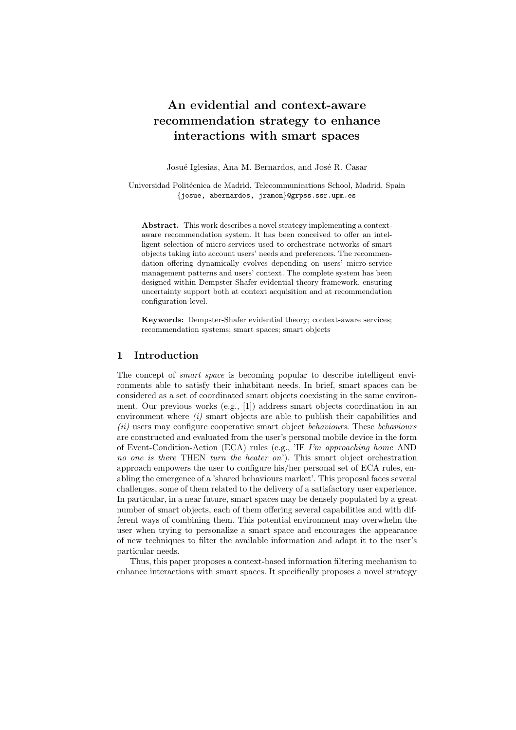# An evidential and context-aware recommendation strategy to enhance interactions with smart spaces

Josué Iglesias, Ana M. Bernardos, and José R. Casar

Universidad Politécnica de Madrid, Telecommunications School, Madrid, Spain {josue, abernardos, jramon}@grpss.ssr.upm.es

Abstract. This work describes a novel strategy implementing a contextaware recommendation system. It has been conceived to offer an intelligent selection of micro-services used to orchestrate networks of smart objects taking into account users' needs and preferences. The recommendation offering dynamically evolves depending on users' micro-service management patterns and users' context. The complete system has been designed within Dempster-Shafer evidential theory framework, ensuring uncertainty support both at context acquisition and at recommendation configuration level.

Keywords: Dempster-Shafer evidential theory; context-aware services; recommendation systems; smart spaces; smart objects

# 1 Introduction

The concept of *smart space* is becoming popular to describe intelligent environments able to satisfy their inhabitant needs. In brief, smart spaces can be considered as a set of coordinated smart objects coexisting in the same environment. Our previous works (e.g., [1]) address smart objects coordination in an environment where  $(i)$  smart objects are able to publish their capabilities and (ii) users may configure cooperative smart object behaviours. These behaviours are constructed and evaluated from the user's personal mobile device in the form of Event-Condition-Action (ECA) rules (e.g., 'IF I'm approaching home AND no one is there THEN turn the heater on'). This smart object orchestration approach empowers the user to configure his/her personal set of ECA rules, enabling the emergence of a 'shared behaviours market'. This proposal faces several challenges, some of them related to the delivery of a satisfactory user experience. In particular, in a near future, smart spaces may be densely populated by a great number of smart objects, each of them offering several capabilities and with different ways of combining them. This potential environment may overwhelm the user when trying to personalize a smart space and encourages the appearance of new techniques to filter the available information and adapt it to the user's particular needs.

Thus, this paper proposes a context-based information filtering mechanism to enhance interactions with smart spaces. It specifically proposes a novel strategy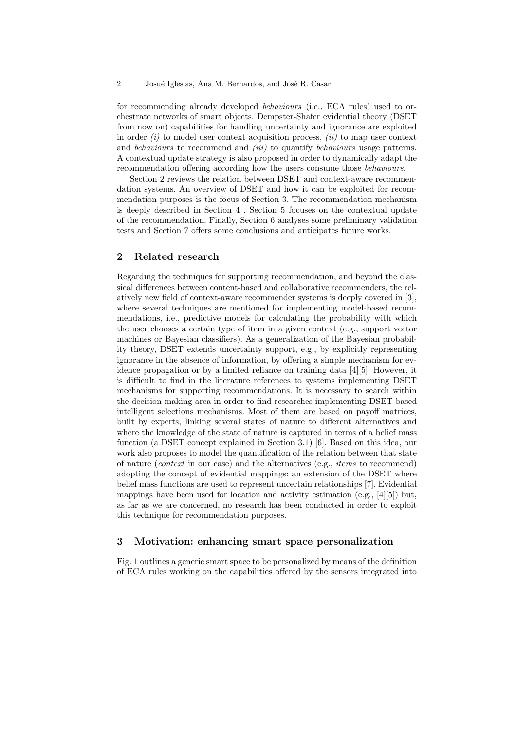for recommending already developed behaviours (i.e., ECA rules) used to orchestrate networks of smart objects. Dempster-Shafer evidential theory (DSET from now on) capabilities for handling uncertainty and ignorance are exploited in order  $(i)$  to model user context acquisition process,  $(ii)$  to map user context and *behaviours* to recommend and *(iii)* to quantify *behaviours* usage patterns. A contextual update strategy is also proposed in order to dynamically adapt the recommendation offering according how the users consume those behaviours.

Section 2 reviews the relation between DSET and context-aware recommendation systems. An overview of DSET and how it can be exploited for recommendation purposes is the focus of Section 3. The recommendation mechanism is deeply described in Section 4 . Section 5 focuses on the contextual update of the recommendation. Finally, Section 6 analyses some preliminary validation tests and Section 7 offers some conclusions and anticipates future works.

## 2 Related research

Regarding the techniques for supporting recommendation, and beyond the classical differences between content-based and collaborative recommenders, the relatively new field of context-aware recommender systems is deeply covered in [3], where several techniques are mentioned for implementing model-based recommendations, i.e., predictive models for calculating the probability with which the user chooses a certain type of item in a given context (e.g., support vector machines or Bayesian classifiers). As a generalization of the Bayesian probability theory, DSET extends uncertainty support, e.g., by explicitly representing ignorance in the absence of information, by offering a simple mechanism for evidence propagation or by a limited reliance on training data [4][5]. However, it is difficult to find in the literature references to systems implementing DSET mechanisms for supporting recommendations. It is necessary to search within the decision making area in order to find researches implementing DSET-based intelligent selections mechanisms. Most of them are based on payoff matrices, built by experts, linking several states of nature to different alternatives and where the knowledge of the state of nature is captured in terms of a belief mass function (a DSET concept explained in Section 3.1) [6]. Based on this idea, our work also proposes to model the quantification of the relation between that state of nature (context in our case) and the alternatives (e.g., items to recommend) adopting the concept of evidential mappings: an extension of the DSET where belief mass functions are used to represent uncertain relationships [7]. Evidential mappings have been used for location and activity estimation (e.g., [4][5]) but, as far as we are concerned, no research has been conducted in order to exploit this technique for recommendation purposes.

## 3 Motivation: enhancing smart space personalization

Fig. 1 outlines a generic smart space to be personalized by means of the definition of ECA rules working on the capabilities offered by the sensors integrated into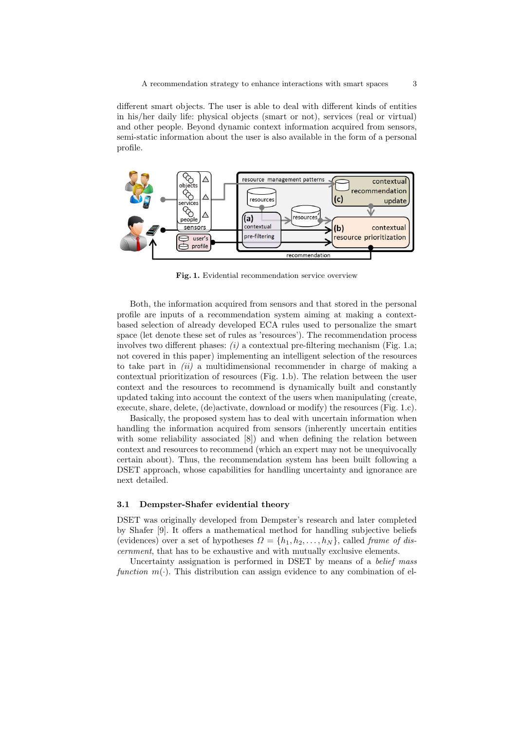A recommendation strategy to enhance interactions with smart spaces 3

different smart objects. The user is able to deal with different kinds of entities in his/her daily life: physical objects (smart or not), services (real or virtual) and other people. Beyond dynamic context information acquired from sensors, semi-static information about the user is also available in the form of a personal profile.



Fig. 1. Evidential recommendation service overview

Both, the information acquired from sensors and that stored in the personal profile are inputs of a recommendation system aiming at making a contextbased selection of already developed ECA rules used to personalize the smart space (let denote these set of rules as 'resources'). The recommendation process involves two different phases:  $(i)$  a contextual pre-filtering mechanism (Fig. 1.a; not covered in this paper) implementing an intelligent selection of the resources to take part in  $(ii)$  a multidimensional recommender in charge of making a contextual prioritization of resources (Fig. 1.b). The relation between the user context and the resources to recommend is dynamically built and constantly updated taking into account the context of the users when manipulating (create, execute, share, delete, (de)activate, download or modify) the resources (Fig. 1.c).

Basically, the proposed system has to deal with uncertain information when handling the information acquired from sensors (inherently uncertain entities with some reliability associated  $[8]$  and when defining the relation between context and resources to recommend (which an expert may not be unequivocally certain about). Thus, the recommendation system has been built following a DSET approach, whose capabilities for handling uncertainty and ignorance are next detailed.

#### 3.1 Dempster-Shafer evidential theory

DSET was originally developed from Dempster's research and later completed by Shafer [9]. It offers a mathematical method for handling subjective beliefs (evidences) over a set of hypotheses  $\Omega = \{h_1, h_2, \ldots, h_N\}$ , called frame of discernment, that has to be exhaustive and with mutually exclusive elements.

Uncertainty assignation is performed in DSET by means of a belief mass function  $m(\cdot)$ . This distribution can assign evidence to any combination of el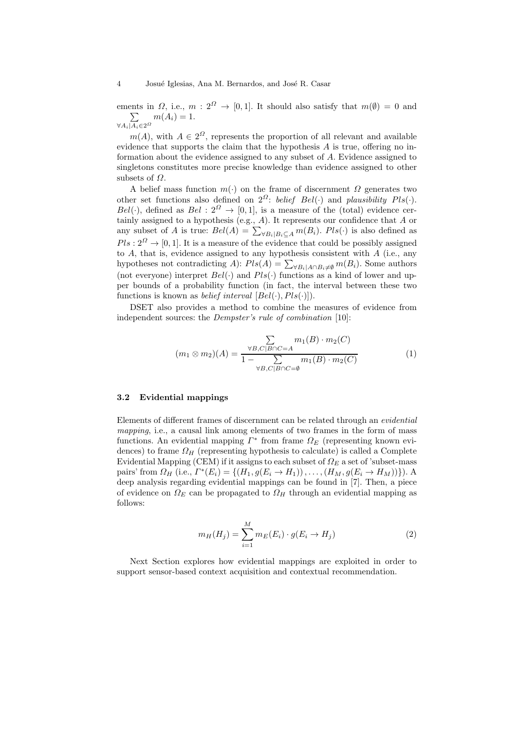ements in  $\Omega$ , i.e.,  $m: 2^{\Omega} \to [0,1]$ . It should also satisfy that  $m(\emptyset) = 0$  and  $\sum$  $\forall A_i | A_i \in 2^{\Omega}$  $m(A_i) = 1.$ 

 $m(A)$ , with  $A \in 2^{\Omega}$ , represents the proportion of all relevant and available evidence that supports the claim that the hypothesis A is true, offering no information about the evidence assigned to any subset of A. Evidence assigned to singletons constitutes more precise knowledge than evidence assigned to other subsets of  $\Omega$ .

A belief mass function  $m(\cdot)$  on the frame of discernment  $\Omega$  generates two other set functions also defined on  $2^{\Omega}$ : belief Bel(·) and plausibility Pls(·).  $Bel(\cdot)$ , defined as  $Bel: 2^{\Omega} \rightarrow [0,1]$ , is a measure of the (total) evidence certainly assigned to a hypothesis (e.g., A). It represents our confidence that A or any subset of A is true:  $Bel(A) = \sum_{\forall B_i | B_i \subseteq A} m(B_i)$ .  $Pls(\cdot)$  is also defined as  $Pls: 2^{\Omega} \rightarrow [0, 1]$ . It is a measure of the evidence that could be possibly assigned to  $A$ , that is, evidence assigned to any hypothesis consistent with  $A$  (i.e., any hypotheses not contradicting  $A$ ):  $Pls(A) = \sum_{\forall B_i | A \cap B_i \neq \emptyset} m(B_i)$ . Some authors (not everyone) interpret  $Bel(\cdot)$  and  $Pls(\cdot)$  functions as a kind of lower and upper bounds of a probability function (in fact, the interval between these two functions is known as *belief interval*  $[Bel(\cdot), Pls(\cdot)]$ .

DSET also provides a method to combine the measures of evidence from independent sources: the *Dempster's rule of combination* [10]:

$$
(m_1 \otimes m_2)(A) = \frac{\sum_{\forall B,C|B \cap C = A} m_1(B) \cdot m_2(C)}{1 - \sum_{\forall B,C|B \cap C = \emptyset} m_1(B) \cdot m_2(C)}
$$
(1)

#### 3.2 Evidential mappings

Elements of different frames of discernment can be related through an evidential mapping, i.e., a causal link among elements of two frames in the form of mass functions. An evidential mapping  $\Gamma^*$  from frame  $\Omega_E$  (representing known evidences) to frame  $\Omega_H$  (representing hypothesis to calculate) is called a Complete Evidential Mapping (CEM) if it assigns to each subset of  $\Omega_E$  a set of 'subset-mass pairs' from  $\Omega_H$  (i.e.,  $\Gamma^*(E_i) = \{(H_1, g(E_i \to H_1)), \dots, (H_M, g(E_i \to H_M))\})$ . A deep analysis regarding evidential mappings can be found in [7]. Then, a piece of evidence on  $\Omega_E$  can be propagated to  $\Omega_H$  through an evidential mapping as follows:

$$
m_H(H_j) = \sum_{i=1}^{M} m_E(E_i) \cdot g(E_i \to H_j)
$$
\n(2)

Next Section explores how evidential mappings are exploited in order to support sensor-based context acquisition and contextual recommendation.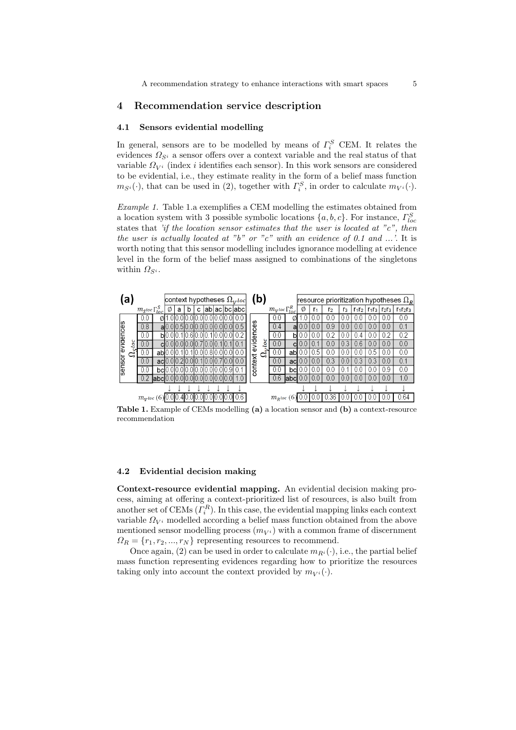## 4 Recommendation service description

## 4.1 Sensors evidential modelling

In general, sensors are to be modelled by means of  $\Gamma_i^S$  CEM. It relates the evidences  $\Omega_{S^i}$  a sensor offers over a context variable and the real status of that variable  $\Omega_{V_i}$  (index *i* identifies each sensor). In this work sensors are considered to be evidential, i.e., they estimate reality in the form of a belief mass function  $m_{S^i}(\cdot)$ , that can be used in (2), together with  $\Gamma_i^S$ , in order to calculate  $m_{V^i}(\cdot)$ .

Example 1. Table 1.a exemplifies a CEM modelling the estimates obtained from a location system with 3 possible symbolic locations  $\{a, b, c\}$ . For instance,  $\Gamma^S_{loc}$ states that 'if the location sensor estimates that the user is located at " $c$ ", then the user is actually located at "b" or "c" with an evidence of 0.1 and ...'. It is worth noting that this sensor modelling includes ignorance modelling at evidence level in the form of the belief mass assigned to combinations of the singletons within  $\Omega_{S^i}$ .



Table 1. Example of CEMs modelling (a) a location sensor and (b) a context-resource recommendation

#### 4.2 Evidential decision making

Context-resource evidential mapping. An evidential decision making process, aiming at offering a context-prioritized list of resources, is also built from another set of CEMs  $(\Gamma_i^R)$ . In this case, the evidential mapping links each context variable  $\Omega_{V_i}$  modelled according a belief mass function obtained from the above mentioned sensor modelling process  $(m_{V_i})$  with a common frame of discernment  $\Omega_R = \{r_1, r_2, ..., r_N\}$  representing resources to recommend.

Once again, (2) can be used in order to calculate  $m_{R<sup>i</sup>}(\cdot)$ , i.e., the partial belief mass function representing evidences regarding how to prioritize the resources taking only into account the context provided by  $m_{V_i}(\cdot)$ .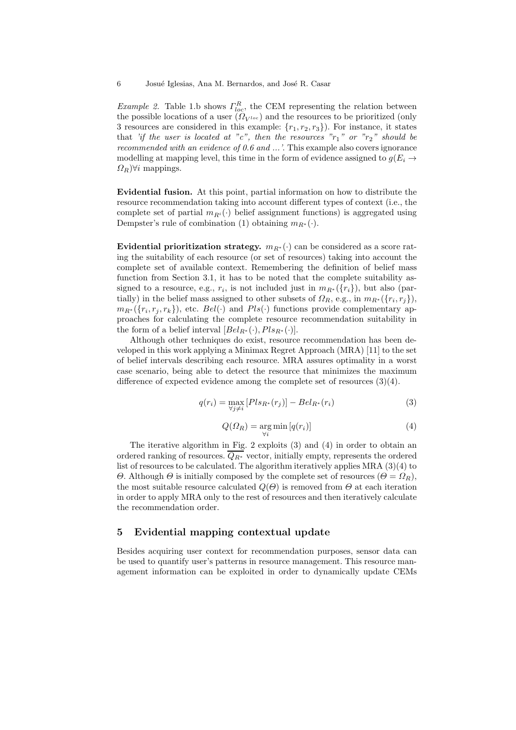Example 2. Table 1.b shows  $\Gamma^R_{loc}$ , the CEM representing the relation between the possible locations of a user  $(\Omega_{V^{loc}})$  and the resources to be prioritized (only 3 resources are considered in this example:  $\{r_1, r_2, r_3\}$ . For instance, it states that 'if the user is located at "c", then the resources  $"r_1"$  or  $"r_2"$  should be recommended with an evidence of 0.6 and ...'. This example also covers ignorance modelling at mapping level, this time in the form of evidence assigned to  $q(E_i \rightarrow$  $\Omega_R$ ) $\forall i$  mappings.

Evidential fusion. At this point, partial information on how to distribute the resource recommendation taking into account different types of context (i.e., the complete set of partial  $m_{R<sup>i</sup>}(\cdot)$  belief assignment functions) is aggregated using Dempster's rule of combination (1) obtaining  $m_{R^*}(\cdot)$ .

Evidential prioritization strategy.  $m_{R^*}(\cdot)$  can be considered as a score rating the suitability of each resource (or set of resources) taking into account the complete set of available context. Remembering the definition of belief mass function from Section 3.1, it has to be noted that the complete suitability assigned to a resource, e.g.,  $r_i$ , is not included just in  $m_{R^*}(\lbrace r_i \rbrace)$ , but also (partially) in the belief mass assigned to other subsets of  $\Omega_R$ , e.g., in  $m_{R^*}(\lbrace r_i, r_j \rbrace)$ ,  $m_{R^*}(\lbrace r_i, r_j, r_k \rbrace)$ , etc.  $Bel(\cdot)$  and  $Pls(\cdot)$  functions provide complementary approaches for calculating the complete resource recommendation suitability in the form of a belief interval  $[Bel_{R^*}(\cdot), Pls_{R^*}(\cdot)].$ 

Although other techniques do exist, resource recommendation has been developed in this work applying a Minimax Regret Approach (MRA) [11] to the set of belief intervals describing each resource. MRA assures optimality in a worst case scenario, being able to detect the resource that minimizes the maximum difference of expected evidence among the complete set of resources (3)(4).

$$
q(r_i) = \max_{\forall j \neq i} [Pls_{R^*}(r_j)] - Bel_{R^*}(r_i)
$$
\n(3)

$$
Q(\Omega_R) = \underset{\forall i}{\text{arg min}} \left[ q(r_i) \right] \tag{4}
$$

The iterative algorithm in Fig. 2 exploits (3) and (4) in order to obtain an ordered ranking of resources.  $\overline{Q_{R^*}}$  vector, initially empty, represents the ordered list of resources to be calculated. The algorithm iteratively applies MRA (3)(4) to Θ. Although Θ is initially composed by the complete set of resources  $(Θ = Ω<sub>R</sub>)$ , the most suitable resource calculated  $Q(\Theta)$  is removed from  $\Theta$  at each iteration in order to apply MRA only to the rest of resources and then iteratively calculate the recommendation order.

## 5 Evidential mapping contextual update

Besides acquiring user context for recommendation purposes, sensor data can be used to quantify user's patterns in resource management. This resource management information can be exploited in order to dynamically update CEMs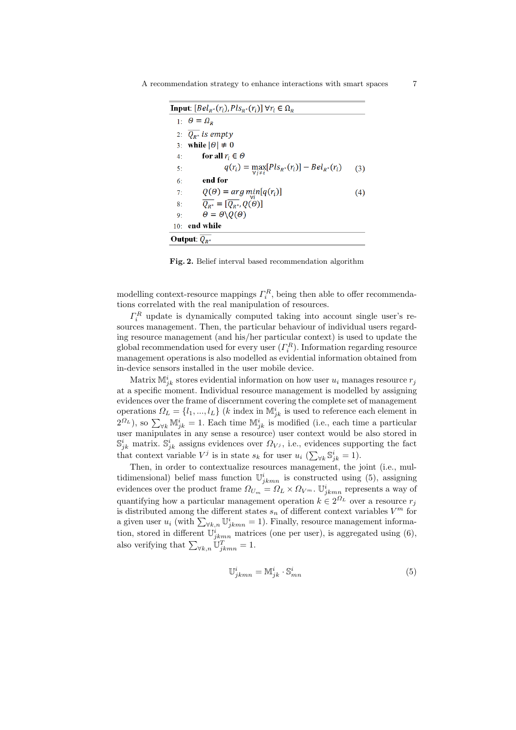| Input: $ Bel_{R^*}(r_i), Pls_{R^*}(r_i)  \forall r_i \in \Omega_R$ |                                                                      |     |
|--------------------------------------------------------------------|----------------------------------------------------------------------|-----|
|                                                                    | 1: $\theta = \Omega_{\rm p}$                                         |     |
|                                                                    | 2: $Q_{p*}$ is empty                                                 |     |
| 3:                                                                 | while $ \theta  \neq 0$                                              |     |
| 4:                                                                 | for all $r_i \in \Theta$                                             |     |
| 5:                                                                 | $q(r_i) = \max_{\forall i \neq i} [Pls_{R^*}(r_i)] - Bel_{R^*}(r_i)$ | (3) |
| 6:                                                                 | end for                                                              |     |
| 7:                                                                 | $Q(\theta) = arg \min_{\forall i} [q(r_i)]$                          | (4) |
| 8:                                                                 | $\overline{Q_{B^*}} = [\overline{Q_{B^*}}, Q(\theta)]$               |     |
| 9:                                                                 | $\theta = \theta \setminus O(\theta)$                                |     |
| 10:                                                                | end while                                                            |     |
| Output: $Q_{R^*}$                                                  |                                                                      |     |

Fig. 2. Belief interval based recommendation algorithm

modelling context-resource mappings  $\Gamma_i^R$ , being then able to offer recommendations correlated with the real manipulation of resources.

 $\Gamma_i^R$  update is dynamically computed taking into account single user's resources management. Then, the particular behaviour of individual users regarding resource management (and his/her particular context) is used to update the global recommendation used for every user  $(\Gamma_i^R)$ . Information regarding resource management operations is also modelled as evidential information obtained from in-device sensors installed in the user mobile device.

Matrix  $\mathbb{M}_{jk}^i$  stores evidential information on how user  $u_i$  manages resource  $r_j$ at a specific moment. Individual resource management is modelled by assigning evidences over the frame of discernment covering the complete set of management operations  $\Omega_L = \{l_1, ..., l_L\}$  (*k* index in  $\mathbb{M}_{jk}^i$  is used to reference each element in  $(2^{Q_L})$ , so  $\sum_{\forall k} \mathbb{M}_{jk}^i = 1$ . Each time  $\mathbb{M}_{jk}^i$  is modified (i.e., each time a particular user manipulates in any sense a resource) user context would be also stored in  $\mathbb{S}_{jk}^{i}$  matrix.  $\mathbb{S}_{jk}^{i}$  assigns evidences over  $\Omega_{Vj}$ , i.e., evidences supporting the fact that context variable  $V^j$  is in state  $s_k$  for user  $u_i$  ( $\sum_{\forall k} \mathbb{S}_{jk}^i = 1$ ).

Then, in order to contextualize resources management, the joint (i.e., multidimensional) belief mass function  $\mathbb{U}^i_{jkmn}$  is constructed using (5), assigning evidences over the product frame  $\Omega_{U_m} = \Omega_L \times \Omega_{V^m}$ .  $\mathbb{U}_{jkmn}^i$  represents a way of quantifying how a particular management operation  $k \in 2^{\Omega_L}$  over a resource  $r_j$ is distributed among the different states  $s_n$  of different context variables  $V^m$  for a given user  $u_i$  (with  $\sum_{\forall k,n} \mathbb{U}_{jkmn}^i = 1$ ). Finally, resource management information, stored in different  $\mathbb{U}_{jkmn}^{i}$  matrices (one per user), is aggregated using (6), also verifying that  $\sum_{\forall k,n} \mathbb{U}_{jkmn}^T = 1$ .

$$
\mathbb{U}^i_{jkmn} = \mathbb{M}^i_{jk} \cdot \mathbb{S}^i_{mn} \tag{5}
$$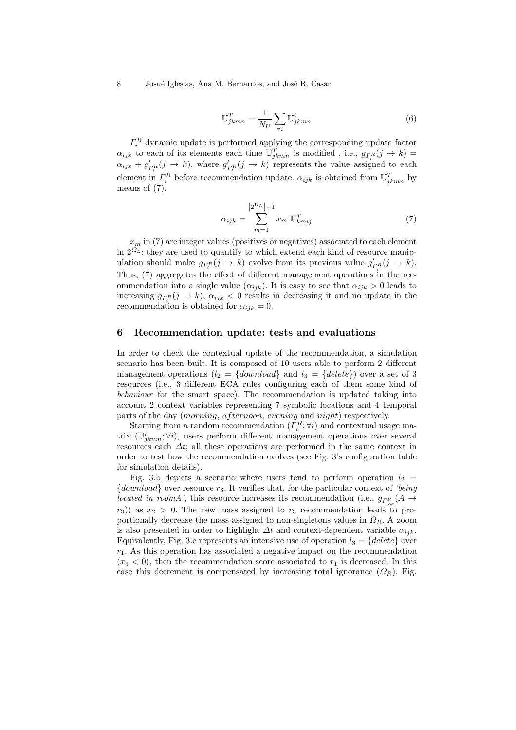8 Josué Iglesias, Ana M. Bernardos, and José R. Casar

$$
\mathbb{U}_{jkmn}^T = \frac{1}{N_U} \sum_{\forall i} \mathbb{U}_{jkmn}^i \tag{6}
$$

 $\Gamma_i^R$  dynamic update is performed applying the corresponding update factor  $\alpha_{ijk}$  to each of its elements each time  $\mathbb{U}_{jkmn}^T$  is modified , i.e.,  $g_{\Gamma_i^R}(j \to k) =$  $\alpha_{ijk} + g'_{\Gamma_i^R}(j \to k)$ , where  $g'_{\Gamma_i^R}(j \to k)$  represents the value assigned to each element in  $\Gamma_i^R$  before recommendation update.  $\alpha_{ijk}$  is obtained from  $\mathbb{U}_{jkmn}^T$  by means of (7).

$$
\alpha_{ijk} = \sum_{m=1}^{\lfloor 2^{G_L} \rfloor - 1} x_m \cdot \mathbb{U}_{kmij}^T \tag{7}
$$

 $x_m$  in (7) are integer values (positives or negatives) associated to each element in  $2^{\Omega_L}$ ; they are used to quantify to which extend each kind of resource manipulation should make  $g_{\Gamma_i^R}(j \to k)$  evolve from its previous value  $g'_{\Gamma_i^R}(j \to k)$ . Thus, (7) aggregates the effect of different management operations in the recommendation into a single value  $(\alpha_{ijk})$ . It is easy to see that  $\alpha_{ijk} > 0$  leads to increasing  $g_{\Gamma_i^R}(j \to k)$ ,  $\alpha_{ijk} < 0$  results in decreasing it and no update in the recommendation is obtained for  $\alpha_{ijk} = 0$ .

#### 6 Recommendation update: tests and evaluations

In order to check the contextual update of the recommendation, a simulation scenario has been built. It is composed of 10 users able to perform 2 different management operations  $(l_2 = \{download\}$  and  $l_3 = \{delete\})$  over a set of 3 resources (i.e., 3 different ECA rules configuring each of them some kind of behaviour for the smart space). The recommendation is updated taking into account 2 context variables representing 7 symbolic locations and 4 temporal parts of the day (morning, afternoon, evening and night) respectively.

Starting from a random recommendation  $(\Gamma_i^R; \forall i)$  and contextual usage matrix  $(\mathbb{U}_{jkmn}^i; \forall i)$ , users perform different management operations over several resources each  $\Delta t$ ; all these operations are performed in the same context in order to test how the recommendation evolves (see Fig. 3's configuration table for simulation details).

Fig. 3.b depicts a scenario where users tend to perform operation  $l_2$  =  ${download}$  over resource  $r_3$ . It verifies that, for the particular context of 'being' *located in roomA'*, this resource increases its recommendation (i.e.,  $g_{\Gamma_{loc}^{R}}(A \rightarrow$  $r_3$ )) as  $x_2 > 0$ . The new mass assigned to  $r_3$  recommendation leads to proportionally decrease the mass assigned to non-singletons values in  $\Omega_R$ . A zoom is also presented in order to highlight  $\Delta t$  and context-dependent variable  $\alpha_{ijk}$ . Equivalently, Fig. 3.c represents an intensive use of operation  $l_3 = \{delete\}$  over  $r_1$ . As this operation has associated a negative impact on the recommendation  $(x_3 < 0)$ , then the recommendation score associated to  $r_1$  is decreased. In this case this decrement is compensated by increasing total ignorance  $(\Omega_R)$ . Fig.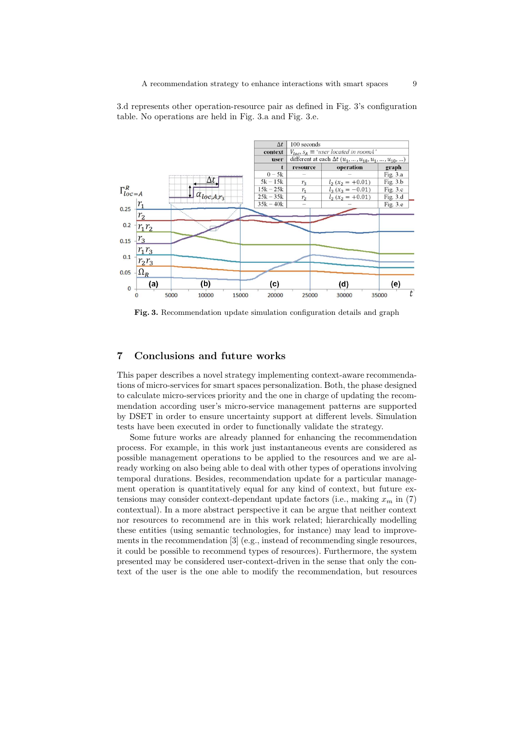

3.d represents other operation-resource pair as defined in Fig. 3's configuration table. No operations are held in Fig. 3.a and Fig. 3.e.

Fig. 3. Recommendation update simulation configuration details and graph

15000

 $(c)$ 

20000

25000

 $(d)$ 

30000

(e)

35000

t

## 7 Conclusions and future works

 $(b)$ 

10000

 $r_1r_3$ 

 $r_2r_3$ 

 $\Omega_R$ 

(a)

5000

 $0.1$ 

 $0.05$ 

 $\bf{0}$ 

 $\overline{0}$ 

This paper describes a novel strategy implementing context-aware recommendations of micro-services for smart spaces personalization. Both, the phase designed to calculate micro-services priority and the one in charge of updating the recommendation according user's micro-service management patterns are supported by DSET in order to ensure uncertainty support at different levels. Simulation tests have been executed in order to functionally validate the strategy.

Some future works are already planned for enhancing the recommendation process. For example, in this work just instantaneous events are considered as possible management operations to be applied to the resources and we are already working on also being able to deal with other types of operations involving temporal durations. Besides, recommendation update for a particular management operation is quantitatively equal for any kind of context, but future extensions may consider context-dependant update factors (i.e., making  $x_m$  in (7) contextual). In a more abstract perspective it can be argue that neither context nor resources to recommend are in this work related; hierarchically modelling these entities (using semantic technologies, for instance) may lead to improvements in the recommendation [3] (e.g., instead of recommending single resources, it could be possible to recommend types of resources). Furthermore, the system presented may be considered user-context-driven in the sense that only the context of the user is the one able to modify the recommendation, but resources